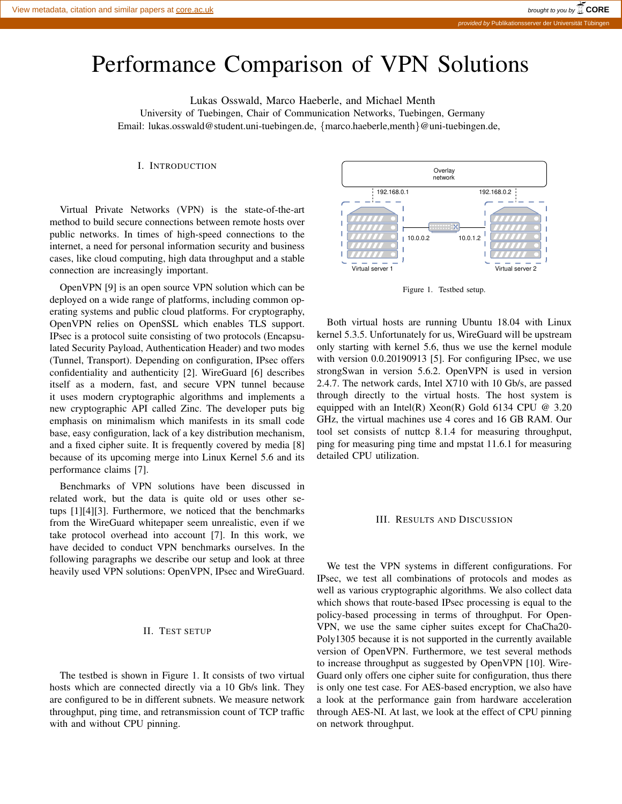# Performance Comparison of VPN Solutions

Lukas Osswald, Marco Haeberle, and Michael Menth University of Tuebingen, Chair of Communication Networks, Tuebingen, Germany Email: lukas.osswald@student.uni-tuebingen.de, {marco.haeberle,menth}@uni-tuebingen.de,

I. INTRODUCTION

Virtual Private Networks (VPN) is the state-of-the-art method to build secure connections between remote hosts over public networks. In times of high-speed connections to the internet, a need for personal information security and business cases, like cloud computing, high data throughput and a stable connection are increasingly important.

OpenVPN [9] is an open source VPN solution which can be deployed on a wide range of platforms, including common operating systems and public cloud platforms. For cryptography, OpenVPN relies on OpenSSL which enables TLS support. IPsec is a protocol suite consisting of two protocols (Encapsulated Security Payload, Authentication Header) and two modes (Tunnel, Transport). Depending on configuration, IPsec offers confidentiality and authenticity [2]. WireGuard [6] describes itself as a modern, fast, and secure VPN tunnel because it uses modern cryptographic algorithms and implements a new cryptographic API called Zinc. The developer puts big emphasis on minimalism which manifests in its small code base, easy configuration, lack of a key distribution mechanism, and a fixed cipher suite. It is frequently covered by media [8] because of its upcoming merge into Linux Kernel 5.6 and its performance claims [7].

Benchmarks of VPN solutions have been discussed in related work, but the data is quite old or uses other setups [1][4][3]. Furthermore, we noticed that the benchmarks from the WireGuard whitepaper seem unrealistic, even if we take protocol overhead into account [7]. In this work, we have decided to conduct VPN benchmarks ourselves. In the following paragraphs we describe our setup and look at three heavily used VPN solutions: OpenVPN, IPsec and WireGuard.

## II. TEST SETUP

The testbed is shown in Figure 1. It consists of two virtual hosts which are connected directly via a 10 Gb/s link. They are configured to be in different subnets. We measure network throughput, ping time, and retransmission count of TCP traffic with and without CPU pinning.



Figure 1. Testbed setup.

Both virtual hosts are running Ubuntu 18.04 with Linux kernel 5.3.5. Unfortunately for us, WireGuard will be upstream only starting with kernel 5.6, thus we use the kernel module with version 0.0.20190913 [5]. For configuring IPsec, we use strongSwan in version 5.6.2. OpenVPN is used in version 2.4.7. The network cards, Intel X710 with 10 Gb/s, are passed through directly to the virtual hosts. The host system is equipped with an Intel(R) Xeon(R) Gold 6134 CPU  $@$  3.20 GHz, the virtual machines use 4 cores and 16 GB RAM. Our tool set consists of nuttcp 8.1.4 for measuring throughput, ping for measuring ping time and mpstat 11.6.1 for measuring detailed CPU utilization.

#### III. RESULTS AND DISCUSSION

We test the VPN systems in different configurations. For IPsec, we test all combinations of protocols and modes as well as various cryptographic algorithms. We also collect data which shows that route-based IPsec processing is equal to the policy-based processing in terms of throughput. For Open-VPN, we use the same cipher suites except for ChaCha20- Poly1305 because it is not supported in the currently available version of OpenVPN. Furthermore, we test several methods to increase throughput as suggested by OpenVPN [10]. Wire-Guard only offers one cipher suite for configuration, thus there is only one test case. For AES-based encryption, we also have a look at the performance gain from hardware acceleration through AES-NI. At last, we look at the effect of CPU pinning on network throughput.